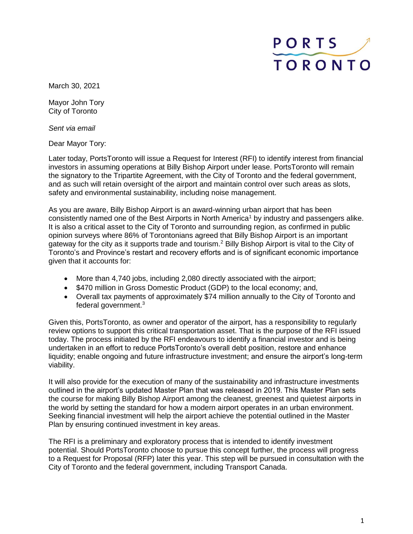## PORTS **TORONTO**

March 30, 2021

Mayor John Tory City of Toronto

*Sent via email*

Dear Mayor Tory:

Later today, PortsToronto will issue a Request for Interest (RFI) to identify interest from financial investors in assuming operations at Billy Bishop Airport under lease. PortsToronto will remain the signatory to the Tripartite Agreement, with the City of Toronto and the federal government, and as such will retain oversight of the airport and maintain control over such areas as slots, safety and environmental sustainability, including noise management.

As you are aware, Billy Bishop Airport is an award-winning urban airport that has been consistently named one of the Best Airports in North America<sup>1</sup> by industry and passengers alike. It is also a critical asset to the City of Toronto and surrounding region, as confirmed in public opinion surveys where 86% of Torontonians agreed that Billy Bishop Airport is an important gateway for the city as it supports trade and tourism.<sup>2</sup> Billy Bishop Airport is vital to the City of Toronto's and Province's restart and recovery efforts and is of significant economic importance given that it accounts for:

- More than 4,740 jobs, including 2,080 directly associated with the airport;
- \$470 million in Gross Domestic Product (GDP) to the local economy; and,
- Overall tax payments of approximately \$74 million annually to the City of Toronto and federal government.<sup>3</sup>

Given this, PortsToronto, as owner and operator of the airport, has a responsibility to regularly review options to support this critical transportation asset. That is the purpose of the RFI issued today. The process initiated by the RFI endeavours to identify a financial investor and is being undertaken in an effort to reduce PortsToronto's overall debt position, restore and enhance liquidity; enable ongoing and future infrastructure investment; and ensure the airport's long-term viability.

It will also provide for the execution of many of the sustainability and infrastructure investments outlined in the airport's updated Master Plan that was released in 2019. This Master Plan sets the course for making Billy Bishop Airport among the cleanest, greenest and quietest airports in the world by setting the standard for how a modern airport operates in an urban environment. Seeking financial investment will help the airport achieve the potential outlined in the Master Plan by ensuring continued investment in key areas.

The RFI is a preliminary and exploratory process that is intended to identify investment potential. Should PortsToronto choose to pursue this concept further, the process will progress to a Request for Proposal (RFP) later this year. This step will be pursued in consultation with the City of Toronto and the federal government, including Transport Canada.